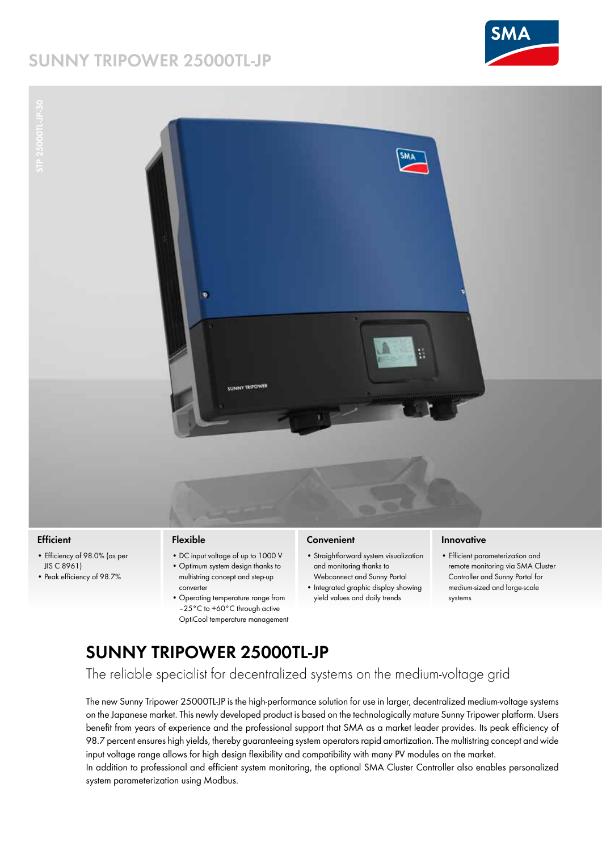# **SUNNY TRIPOWER 25000TL-JP**



**DOCUMENT NO.**



### **Efficient**

- Efficiency of 98.0% (as per JIS C 8961)
- Peak efficiency of 98.7%

#### **Flexible**

- DC input voltage of up to 1000 V • Optimum system design thanks to
	- multistring concept and step-up converter
- Operating temperature range from –25°C to +60°C through active OptiCool temperature management

### **Convenient**

- Straightforward system visualization and monitoring thanks to Webconnect and Sunny Portal
- Integrated graphic display showing yield values and daily trends

## **Innovative**

• Efficient parameterization and remote monitoring via SMA Cluster Controller and Sunny Portal for medium-sized and large-scale systems

# **SUNNY TRIPOWER 25000TL-JP**

The reliable specialist for decentralized systems on the medium-voltage grid

The new Sunny Tripower 25000TL-JP is the high-performance solution for use in larger, decentralized medium-voltage systems on the Japanese market. This newly developed product is based on the technologically mature Sunny Tripower platform. Users benefit from years of experience and the professional support that SMA as a market leader provides. Its peak efficiency of 98.7 percent ensures high yields, thereby guaranteeing system operators rapid amortization. The multistring concept and wide input voltage range allows for high design flexibility and compatibility with many PV modules on the market.

In addition to professional and efficient system monitoring, the optional SMA Cluster Controller also enables personalized system parameterization using Modbus.